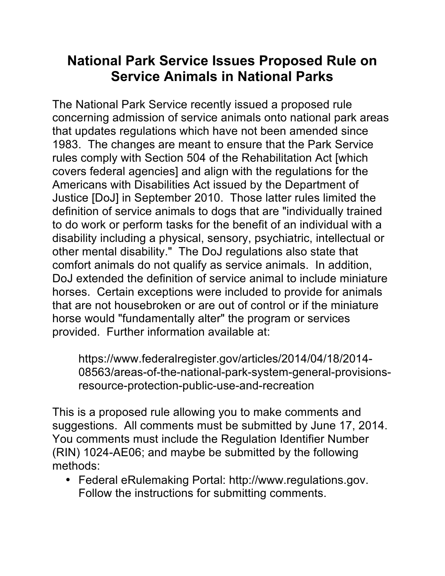## **National Park Service Issues Proposed Rule on Service Animals in National Parks**

The National Park Service recently issued a proposed rule concerning admission of service animals onto national park areas that updates regulations which have not been amended since 1983. The changes are meant to ensure that the Park Service rules comply with Section 504 of the Rehabilitation Act [which covers federal agencies] and align with the regulations for the Americans with Disabilities Act issued by the Department of Justice [DoJ] in September 2010. Those latter rules limited the definition of service animals to dogs that are "individually trained to do work or perform tasks for the benefit of an individual with a disability including a physical, sensory, psychiatric, intellectual or other mental disability." The DoJ regulations also state that comfort animals do not qualify as service animals. In addition, DoJ extended the definition of service animal to include miniature horses. Certain exceptions were included to provide for animals that are not housebroken or are out of control or if the miniature horse would "fundamentally alter" the program or services provided. Further information available at:

https://www.federalregister.gov/articles/2014/04/18/2014- 08563/areas-of-the-national-park-system-general-provisionsresource-protection-public-use-and-recreation

This is a proposed rule allowing you to make comments and suggestions. All comments must be submitted by June 17, 2014. You comments must include the Regulation Identifier Number (RIN) 1024-AE06; and maybe be submitted by the following methods:

• Federal eRulemaking Portal: http://www.regulations.gov. Follow the instructions for submitting comments.